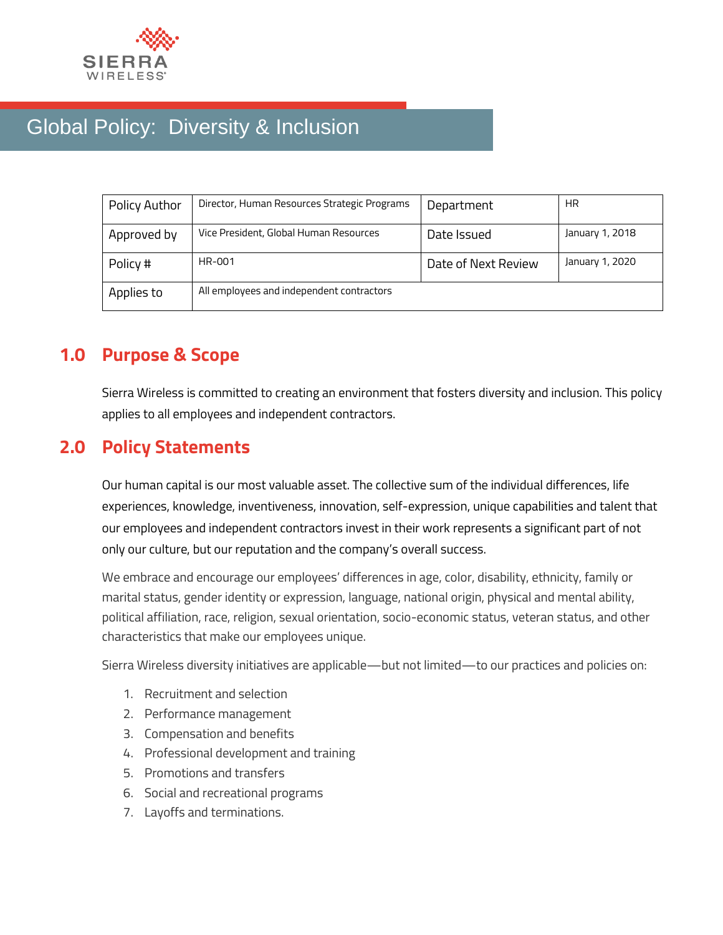

# Global Policy: Diversity & Inclusion

| Policy Author | Director, Human Resources Strategic Programs | Department          | <b>HR</b>       |
|---------------|----------------------------------------------|---------------------|-----------------|
| Approved by   | Vice President, Global Human Resources       | Date Issued         | January 1, 2018 |
| Policy #      | HR-001                                       | Date of Next Review | January 1, 2020 |
| Applies to    | All employees and independent contractors    |                     |                 |

## **1.0 Purpose & Scope**

Sierra Wireless is committed to creating an environment that fosters diversity and inclusion. This policy applies to all employees and independent contractors.

### **2.0 Policy Statements**

Our human capital is our most valuable asset. The collective sum of the individual differences, life experiences, knowledge, inventiveness, innovation, self-expression, unique capabilities and talent that our employees and independent contractors invest in their work represents a significant part of not only our culture, but our reputation and the company's overall success.

We embrace and encourage our employees' differences in age, color, disability, ethnicity, family or marital status, gender identity or expression, language, national origin, physical and mental ability, political affiliation, race, religion, sexual orientation, socio-economic status, veteran status, and other characteristics that make our employees unique.

Sierra Wireless diversity initiatives are applicable—but not limited—to our practices and policies on:

- 1. Recruitment and selection
- 2. Performance management
- 3. Compensation and benefits
- 4. Professional development and training
- 5. Promotions and transfers
- 6. Social and recreational programs
- 7. Layoffs and terminations.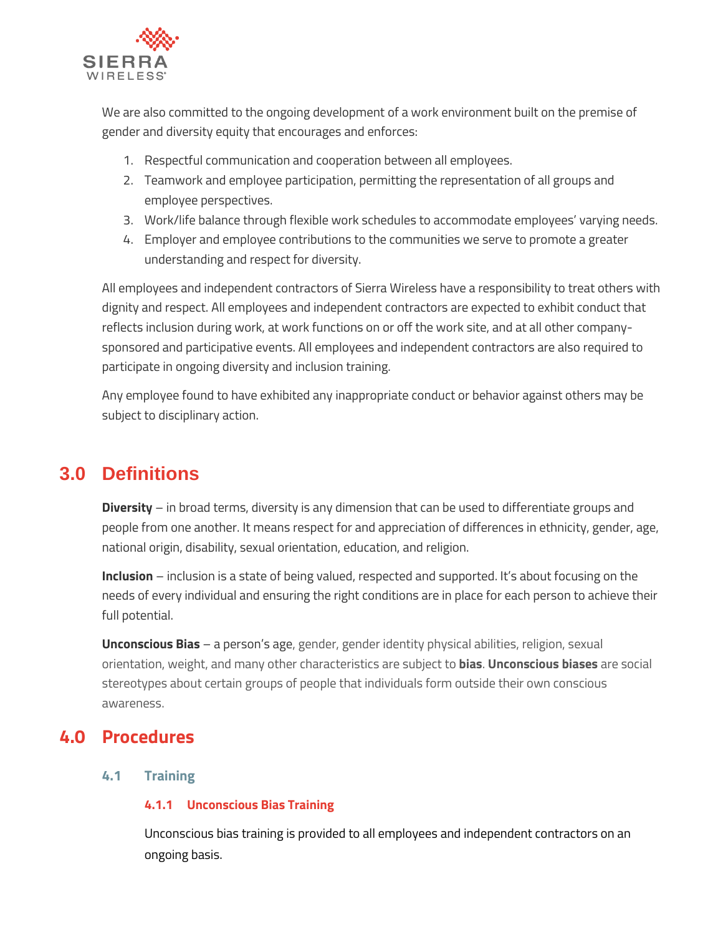

We are also committed to the ongoing development of a work environment built on the premise of gender and diversity equity that encourages and enforces:

- 1. Respectful communication and cooperation between all employees.
- 2. Teamwork and employee participation, permitting the representation of all groups and employee perspectives.
- 3. Work/life balance through flexible work schedules to accommodate employees' varying needs.
- 4. Employer and employee contributions to the communities we serve to promote a greater understanding and respect for diversity.

All employees and independent contractors of Sierra Wireless have a responsibility to treat others with dignity and respect. All employees and independent contractors are expected to exhibit conduct that reflects inclusion during work, at work functions on or off the work site, and at all other companysponsored and participative events. All employees and independent contractors are also required to participate in ongoing diversity and inclusion training.

Any employee found to have exhibited any inappropriate conduct or behavior against others may be subject to disciplinary action.

# **3.0 Definitions**

**Diversity** – in broad terms, diversity is any dimension that can be used to differentiate groups and people from one another. It means respect for and appreciation of differences in ethnicity, gender, age, national origin, disability, sexual orientation, education, and religion.

**Inclusion** – inclusion is a state of being valued, respected and supported. It's about focusing on the needs of every individual and ensuring the right conditions are in place for each person to achieve their full potential.

**Unconscious Bias** – a person's age, gender, gender identity physical abilities, religion, sexual orientation, weight, and many other characteristics are subject to **bias**. **Unconscious biases** are social stereotypes about certain groups of people that individuals form outside their own conscious awareness.

### **4.0 Procedures**

#### **4.1 Training**

#### **4.1.1 Unconscious Bias Training**

Unconscious bias training is provided to all employees and independent contractors on an ongoing basis.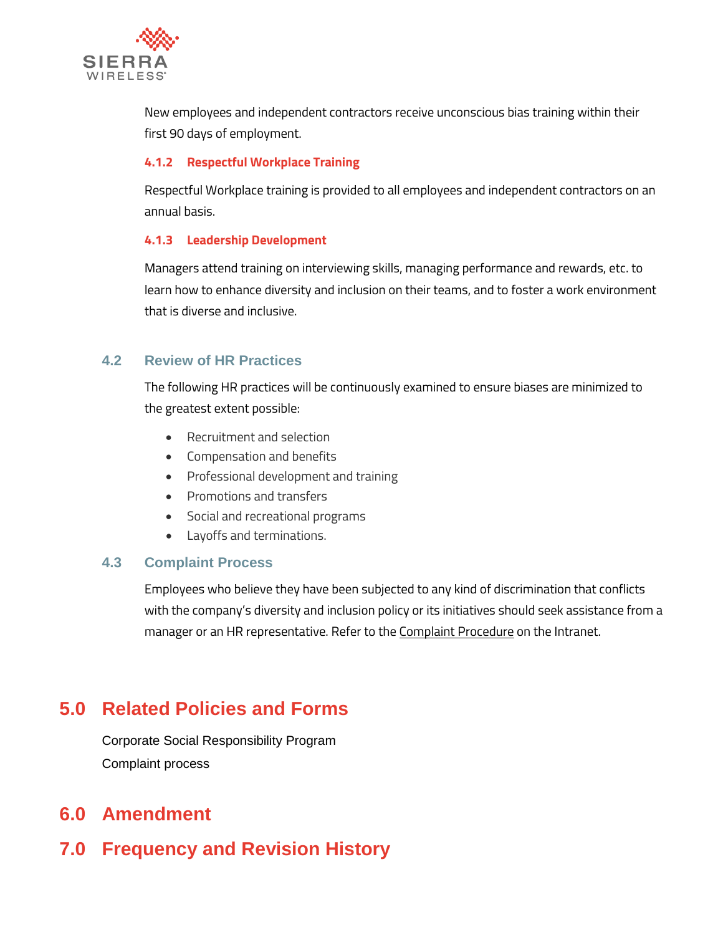

New employees and independent contractors receive unconscious bias training within their first 90 days of employment.

#### **4.1.2 Respectful Workplace Training**

Respectful Workplace training is provided to all employees and independent contractors on an annual basis.

#### **4.1.3 Leadership Development**

Managers attend training on interviewing skills, managing performance and rewards, etc. to learn how to enhance diversity and inclusion on their teams, and to foster a work environment that is diverse and inclusive.

#### **4.2 Review of HR Practices**

The following HR practices will be continuously examined to ensure biases are minimized to the greatest extent possible:

- Recruitment and selection
- Compensation and benefits
- Professional development and training
- Promotions and transfers
- Social and recreational programs
- Layoffs and terminations.

#### **4.3 Complaint Process**

Employees who believe they have been subjected to any kind of discrimination that conflicts with the company's diversity and inclusion policy or its initiatives should seek assistance from a manager or an HR representative. Refer to the Complaint Procedure on the Intranet.

# **5.0 Related Policies and Forms**

Corporate Social Responsibility Program Complaint process

### **6.0 Amendment**

# **7.0 Frequency and Revision History**